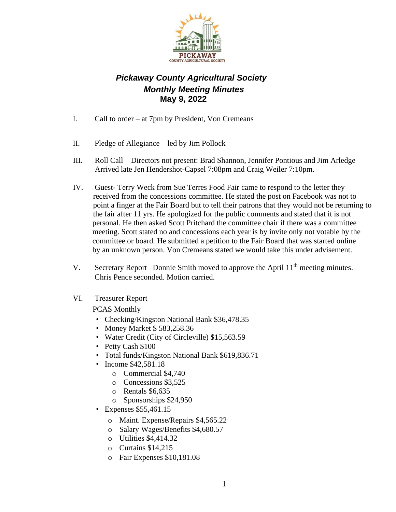

## *Pickaway County Agricultural Society Monthly Meeting Minutes*  **May 9, 2022**

- I. Call to order at 7pm by President, Von Cremeans
- II. Pledge of Allegiance led by Jim Pollock
- III. Roll Call Directors not present: Brad Shannon, Jennifer Pontious and Jim Arledge Arrived late Jen Hendershot-Capsel 7:08pm and Craig Weiler 7:10pm.
- IV. Guest- Terry Weck from Sue Terres Food Fair came to respond to the letter they received from the concessions committee. He stated the post on Facebook was not to point a finger at the Fair Board but to tell their patrons that they would not be returning to the fair after 11 yrs. He apologized for the public comments and stated that it is not personal. He then asked Scott Pritchard the committee chair if there was a committee meeting. Scott stated no and concessions each year is by invite only not votable by the committee or board. He submitted a petition to the Fair Board that was started online by an unknown person. Von Cremeans stated we would take this under advisement.
- V. Secretary Report –Donnie Smith moved to approve the April 11<sup>th</sup> meeting minutes. Chris Pence seconded. Motion carried.
- VI. Treasurer Report

## PCAS Monthly

- Checking/Kingston National Bank \$36,478.35
- Money Market \$ 583,258.36
- Water Credit (City of Circleville) \$15,563.59
- Petty Cash \$100
- Total funds/Kingston National Bank \$619,836.71
- Income \$42,581.18
	- o Commercial \$4,740
	- o Concessions \$3,525
	- o Rentals \$6,635
	- o Sponsorships \$24,950
- Expenses \$55,461.15
	- o Maint. Expense/Repairs \$4,565.22
	- o Salary Wages/Benefits \$4,680.57
	- o Utilities \$4,414.32
	- o Curtains \$14,215
	- o Fair Expenses \$10,181.08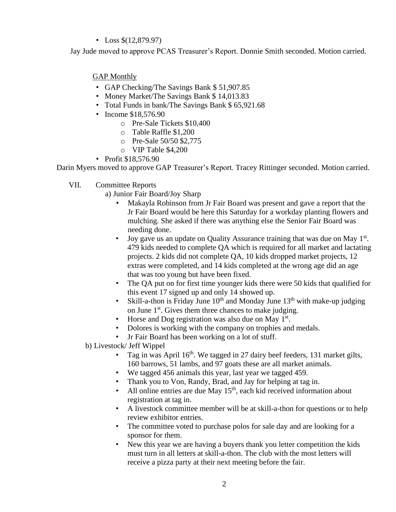## • Loss \$(12,879.97)

Jay Jude moved to approve PCAS Treasurer's Report. Donnie Smith seconded. Motion carried.

GAP Monthly

- GAP Checking/The Savings Bank \$ 51,907.85
- Money Market/The Savings Bank \$14,013.83
- Total Funds in bank/The Savings Bank \$ 65,921.68
- Income \$18,576.90
	- o Pre-Sale Tickets \$10,400
	- o Table Raffle \$1,200
	- o Pre-Sale 50/50 \$2,775
	- o VIP Table \$4,200
- Profit \$18,576.90

Darin Myers moved to approve GAP Treasurer's Report. Tracey Rittinger seconded. Motion carried.

- VII. Committee Reports
	- a) Junior Fair Board/Joy Sharp
		- Makayla Robinson from Jr Fair Board was present and gave a report that the Jr Fair Board would be here this Saturday for a workday planting flowers and mulching. She asked if there was anything else the Senior Fair Board was needing done.
		- Joy gave us an update on Quality Assurance training that was due on May  $1<sup>st</sup>$ . 479 kids needed to complete QA which is required for all market and lactating projects. 2 kids did not complete QA, 10 kids dropped market projects, 12 extras were completed, and 14 kids completed at the wrong age did an age that was too young but have been fixed.
		- The QA put on for first time younger kids there were 50 kids that qualified for this event 17 signed up and only 14 showed up.
		- Skill-a-thon is Friday June  $10^{th}$  and Monday June  $13^{th}$  with make-up judging on June 1st. Gives them three chances to make judging.
		- Horse and Dog registration was also due on May  $1<sup>st</sup>$ .
		- Dolores is working with the company on trophies and medals.
		- Jr Fair Board has been working on a lot of stuff.
	- b) Livestock/ Jeff Wippel
		- Tag in was April  $16<sup>th</sup>$ . We tagged in 27 dairy beef feeders, 131 market gilts, 160 barrows, 51 lambs, and 97 goats these are all market animals.
		- We tagged 456 animals this year, last year we tagged 459.
		- Thank you to Von, Randy, Brad, and Jay for helping at tag in.
		- All online entries are due May  $15<sup>th</sup>$ , each kid received information about registration at tag in.
		- A livestock committee member will be at skill-a-thon for questions or to help review exhibitor entries.
		- The committee voted to purchase polos for sale day and are looking for a sponsor for them.
		- New this year we are having a buyers thank you letter competition the kids must turn in all letters at skill-a-thon. The club with the most letters will receive a pizza party at their next meeting before the fair.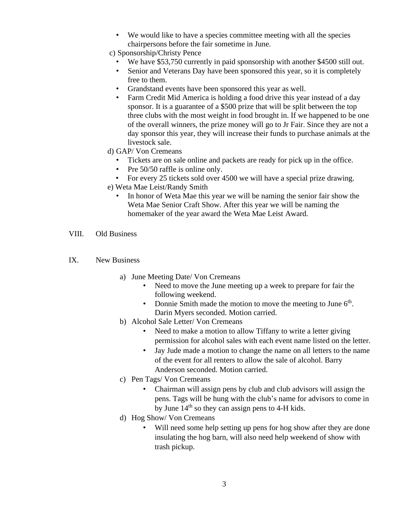- We would like to have a species committee meeting with all the species chairpersons before the fair sometime in June.
- c) Sponsorship/Christy Pence
	- We have \$53,750 currently in paid sponsorship with another \$4500 still out.
	- Senior and Veterans Day have been sponsored this year, so it is completely free to them.
	- Grandstand events have been sponsored this year as well.
	- Farm Credit Mid America is holding a food drive this year instead of a day sponsor. It is a guarantee of a \$500 prize that will be split between the top three clubs with the most weight in food brought in. If we happened to be one of the overall winners, the prize money will go to Jr Fair. Since they are not a day sponsor this year, they will increase their funds to purchase animals at the livestock sale.
- d) GAP/ Von Cremeans
	- Tickets are on sale online and packets are ready for pick up in the office.
	- Pre 50/50 raffle is online only.
	- For every 25 tickets sold over 4500 we will have a special prize drawing.
- e) Weta Mae Leist/Randy Smith
	- In honor of Weta Mae this year we will be naming the senior fair show the Weta Mae Senior Craft Show. After this year we will be naming the homemaker of the year award the Weta Mae Leist Award.
- VIII. Old Business
- IX. New Business
	- a) June Meeting Date/ Von Cremeans
		- Need to move the June meeting up a week to prepare for fair the following weekend.
		- Donnie Smith made the motion to move the meeting to June  $6<sup>th</sup>$ . Darin Myers seconded. Motion carried.
	- b) Alcohol Sale Letter/ Von Cremeans
		- Need to make a motion to allow Tiffany to write a letter giving permission for alcohol sales with each event name listed on the letter.
		- Jay Jude made a motion to change the name on all letters to the name of the event for all renters to allow the sale of alcohol. Barry Anderson seconded. Motion carried.
	- c) Pen Tags/ Von Cremeans
		- Chairman will assign pens by club and club advisors will assign the pens. Tags will be hung with the club's name for advisors to come in by June  $14<sup>th</sup>$  so they can assign pens to 4-H kids.
	- d) Hog Show/ Von Cremeans
		- Will need some help setting up pens for hog show after they are done insulating the hog barn, will also need help weekend of show with trash pickup.